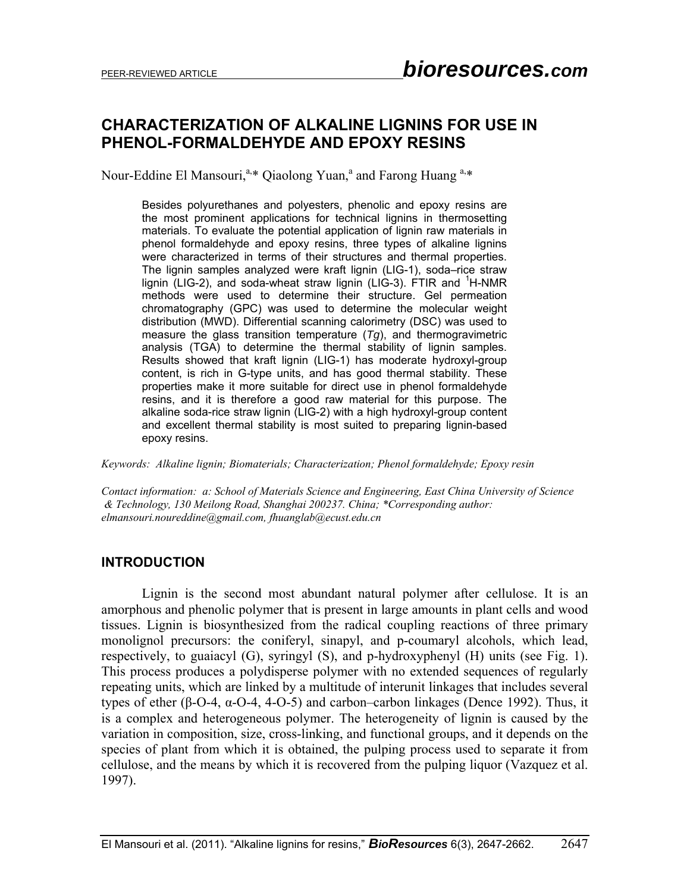# **CHARACTERIZATION OF ALKALINE LIGNINS FOR USE IN PHENOL-FORMALDEHYDE AND EPOXY RESINS**

Nour-Eddine El Mansouri,<sup>a,\*</sup> Qiaolong Yuan,<sup>a</sup> and Farong Huang<sup>a,\*</sup>

Besides polyurethanes and polyesters, phenolic and epoxy resins are the most prominent applications for technical lignins in thermosetting materials. To evaluate the potential application of lignin raw materials in phenol formaldehyde and epoxy resins, three types of alkaline lignins were characterized in terms of their structures and thermal properties. The lignin samples analyzed were kraft lignin (LIG-1), soda–rice straw lignin (LIG-2), and soda-wheat straw lignin (LIG-3). FTIR and <sup>1</sup>H-NMR methods were used to determine their structure. Gel permeation chromatography (GPC) was used to determine the molecular weight distribution (MWD). Differential scanning calorimetry (DSC) was used to measure the glass transition temperature (*Tg*), and thermogravimetric analysis (TGA) to determine the thermal stability of lignin samples. Results showed that kraft lignin (LIG-1) has moderate hydroxyl-group content, is rich in G-type units, and has good thermal stability. These properties make it more suitable for direct use in phenol formaldehyde resins, and it is therefore a good raw material for this purpose. The alkaline soda-rice straw lignin (LIG-2) with a high hydroxyl-group content and excellent thermal stability is most suited to preparing lignin-based epoxy resins.

*Keywords: Alkaline lignin; Biomaterials; Characterization; Phenol formaldehyde; Epoxy resin* 

*Contact information: a: School of Materials Science and Engineering, East China University of Science & Technology, 130 Meilong Road, Shanghai 200237. China; \*Corresponding author: elmansouri.noureddine@gmail.com, fhuanglab@ecust.edu.cn* 

## **INTRODUCTION**

 Lignin is the second most abundant natural polymer after cellulose. It is an amorphous and phenolic polymer that is present in large amounts in plant cells and wood tissues. Lignin is biosynthesized from the radical coupling reactions of three primary monolignol precursors: the coniferyl, sinapyl, and p-coumaryl alcohols, which lead, respectively, to guaiacyl (G), syringyl (S), and p-hydroxyphenyl (H) units (see Fig. 1). This process produces a polydisperse polymer with no extended sequences of regularly repeating units, which are linked by a multitude of interunit linkages that includes several types of ether (β-O-4, α-O-4, 4-O-5) and carbon–carbon linkages (Dence 1992). Thus, it is a complex and heterogeneous polymer. The heterogeneity of lignin is caused by the variation in composition, size, cross-linking, and functional groups, and it depends on the species of plant from which it is obtained, the pulping process used to separate it from cellulose, and the means by which it is recovered from the pulping liquor (Vazquez et al. 1997).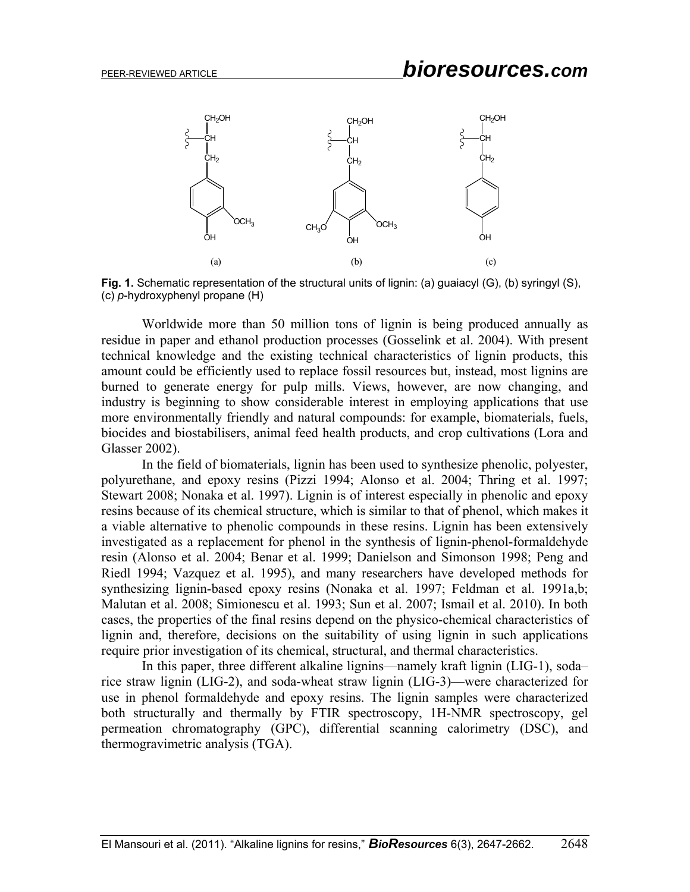# PEER-REVIEWED ARTICLE *bioresources.com*





Worldwide more than 50 million tons of lignin is being produced annually as residue in paper and ethanol production processes (Gosselink et al. 2004). With present technical knowledge and the existing technical characteristics of lignin products, this amount could be efficiently used to replace fossil resources but, instead, most lignins are burned to generate energy for pulp mills. Views, however, are now changing, and industry is beginning to show considerable interest in employing applications that use more environmentally friendly and natural compounds: for example, biomaterials, fuels, biocides and biostabilisers, animal feed health products, and crop cultivations (Lora and Glasser 2002).

In the field of biomaterials, lignin has been used to synthesize phenolic, polyester, polyurethane, and epoxy resins (Pizzi 1994; Alonso et al. 2004; Thring et al. 1997; Stewart 2008; Nonaka et al. 1997). Lignin is of interest especially in phenolic and epoxy resins because of its chemical structure, which is similar to that of phenol, which makes it a viable alternative to phenolic compounds in these resins. Lignin has been extensively investigated as a replacement for phenol in the synthesis of lignin-phenol-formaldehyde resin (Alonso et al. 2004; Benar et al. 1999; Danielson and Simonson 1998; Peng and Riedl 1994; Vazquez et al. 1995), and many researchers have developed methods for synthesizing lignin-based epoxy resins (Nonaka et al. 1997; Feldman et al. 1991a,b; Malutan et al. 2008; Simionescu et al. 1993; Sun et al. 2007; Ismail et al. 2010). In both cases, the properties of the final resins depend on the physico-chemical characteristics of lignin and, therefore, decisions on the suitability of using lignin in such applications require prior investigation of its chemical, structural, and thermal characteristics.

In this paper, three different alkaline lignins—namely kraft lignin (LIG-1), soda– rice straw lignin (LIG-2), and soda-wheat straw lignin (LIG-3)—were characterized for use in phenol formaldehyde and epoxy resins. The lignin samples were characterized both structurally and thermally by FTIR spectroscopy, 1H-NMR spectroscopy, gel permeation chromatography (GPC), differential scanning calorimetry (DSC), and thermogravimetric analysis (TGA).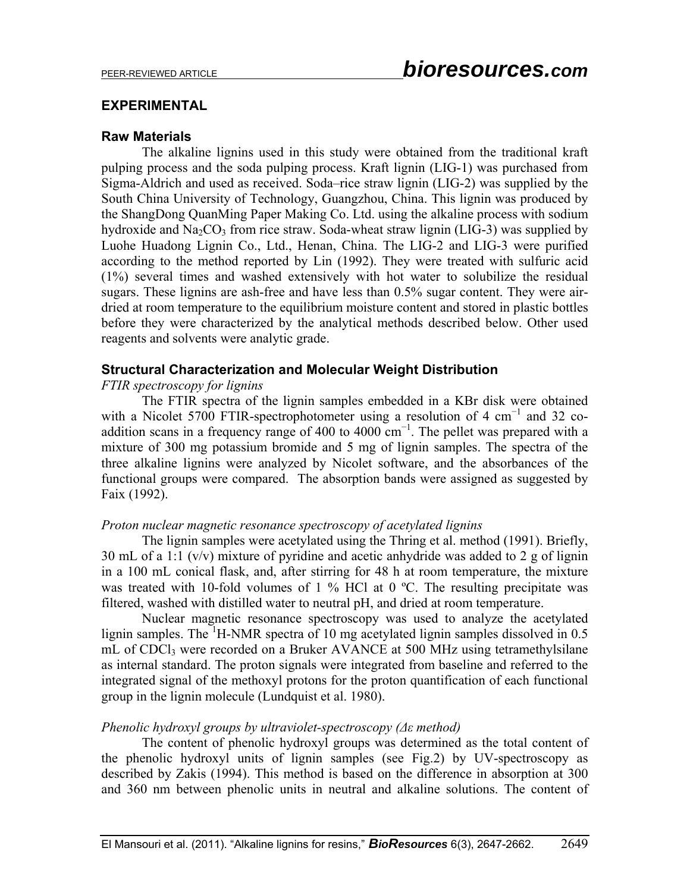### **EXPERIMENTAL**

#### **Raw Materials**

The alkaline lignins used in this study were obtained from the traditional kraft pulping process and the soda pulping process. Kraft lignin (LIG-1) was purchased from Sigma-Aldrich and used as received. Soda–rice straw lignin (LIG-2) was supplied by the South China University of Technology, Guangzhou, China. This lignin was produced by the ShangDong QuanMing Paper Making Co. Ltd. using the alkaline process with sodium hydroxide and  $Na_2CO_3$  from rice straw. Soda-wheat straw lignin (LIG-3) was supplied by Luohe Huadong Lignin Co., Ltd., Henan, China. The LIG-2 and LIG-3 were purified according to the method reported by Lin (1992). They were treated with sulfuric acid (1%) several times and washed extensively with hot water to solubilize the residual sugars. These lignins are ash-free and have less than 0.5% sugar content. They were airdried at room temperature to the equilibrium moisture content and stored in plastic bottles before they were characterized by the analytical methods described below. Other used reagents and solvents were analytic grade.

## **Structural Characterization and Molecular Weight Distribution**

## *FTIR spectroscopy for lignins*

The FTIR spectra of the lignin samples embedded in a KBr disk were obtained with a Nicolet 5700 FTIR-spectrophotometer using a resolution of 4 cm<sup>-1</sup> and 32 coaddition scans in a frequency range of 400 to 4000  $cm^{-1}$ . The pellet was prepared with a mixture of 300 mg potassium bromide and 5 mg of lignin samples. The spectra of the three alkaline lignins were analyzed by Nicolet software, and the absorbances of the functional groups were compared. The absorption bands were assigned as suggested by Faix (1992).

#### *Proton nuclear magnetic resonance spectroscopy of acetylated lignins*

The lignin samples were acetylated using the Thring et al. method (1991). Briefly, 30 mL of a 1:1 (v/v) mixture of pyridine and acetic anhydride was added to 2 g of lignin in a 100 mL conical flask, and, after stirring for 48 h at room temperature, the mixture was treated with 10-fold volumes of 1 % HCl at 0  $^{\circ}$ C. The resulting precipitate was filtered, washed with distilled water to neutral pH, and dried at room temperature.

Nuclear magnetic resonance spectroscopy was used to analyze the acetylated lignin samples. The <sup>1</sup>H-NMR spectra of 10 mg acetylated lignin samples dissolved in 0.5 mL of CDCl<sub>3</sub> were recorded on a Bruker AVANCE at 500 MHz using tetramethylsilane as internal standard. The proton signals were integrated from baseline and referred to the integrated signal of the methoxyl protons for the proton quantification of each functional group in the lignin molecule (Lundquist et al. 1980).

## *Phenolic hydroxyl groups by ultraviolet-spectroscopy (Δε method)*

The content of phenolic hydroxyl groups was determined as the total content of the phenolic hydroxyl units of lignin samples (see Fig.2) by UV-spectroscopy as described by Zakis (1994). This method is based on the difference in absorption at 300 and 360 nm between phenolic units in neutral and alkaline solutions. The content of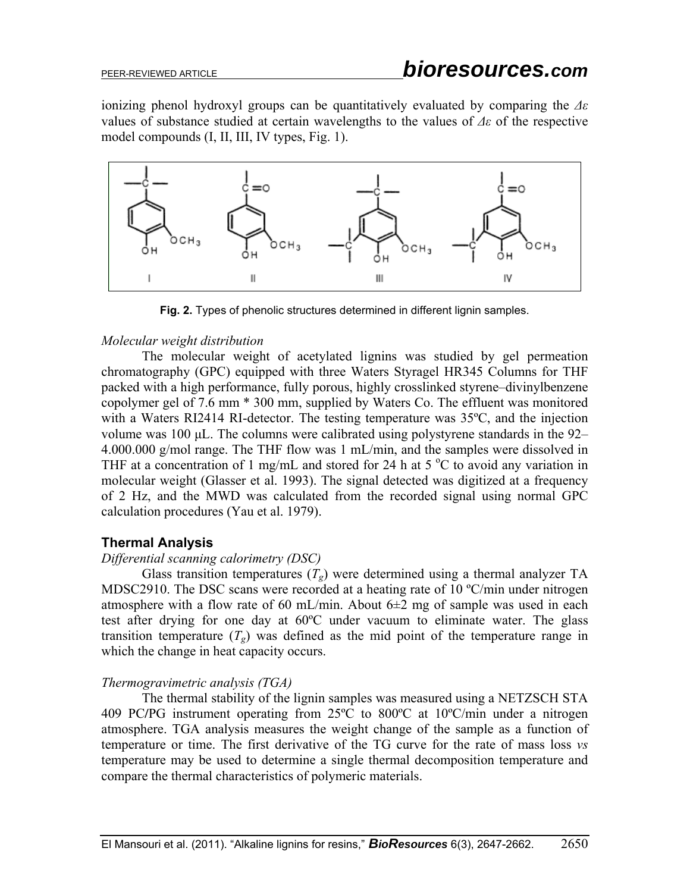ionizing phenol hydroxyl groups can be quantitatively evaluated by comparing the *Δε* values of substance studied at certain wavelengths to the values of *Δε* of the respective model compounds (I, II, III, IV types, Fig. 1).



**Fig. 2.** Types of phenolic structures determined in different lignin samples.

#### *Molecular weight distribution*

The molecular weight of acetylated lignins was studied by gel permeation chromatography (GPC) equipped with three Waters Styragel HR345 Columns for THF packed with a high performance, fully porous, highly crosslinked styrene–divinylbenzene copolymer gel of 7.6 mm \* 300 mm, supplied by Waters Co. The effluent was monitored with a Waters RI2414 RI-detector. The testing temperature was 35<sup>o</sup>C, and the injection volume was 100 μL. The columns were calibrated using polystyrene standards in the 92– 4.000.000 g/mol range. The THF flow was 1 mL/min, and the samples were dissolved in THF at a concentration of 1 mg/mL and stored for 24 h at 5  $\degree$ C to avoid any variation in molecular weight (Glasser et al. 1993). The signal detected was digitized at a frequency of 2 Hz, and the MWD was calculated from the recorded signal using normal GPC calculation procedures (Yau et al. 1979).

## **Thermal Analysis**

#### *Differential scanning calorimetry (DSC)*

Glass transition temperatures  $(T_g)$  were determined using a thermal analyzer TA MDSC2910. The DSC scans were recorded at a heating rate of 10 °C/min under nitrogen atmosphere with a flow rate of 60 mL/min. About  $6\pm 2$  mg of sample was used in each test after drying for one day at 60ºC under vacuum to eliminate water. The glass transition temperature  $(T_g)$  was defined as the mid point of the temperature range in which the change in heat capacity occurs.

## *Thermogravimetric analysis (TGA)*

The thermal stability of the lignin samples was measured using a NETZSCH STA 409 PC**/**PG instrument operating from 25ºC to 800ºC at 10ºC/min under a nitrogen atmosphere. TGA analysis measures the weight change of the sample as a function of temperature or time. The first derivative of the TG curve for the rate of mass loss *vs* temperature may be used to determine a single thermal decomposition temperature and compare the thermal characteristics of polymeric materials.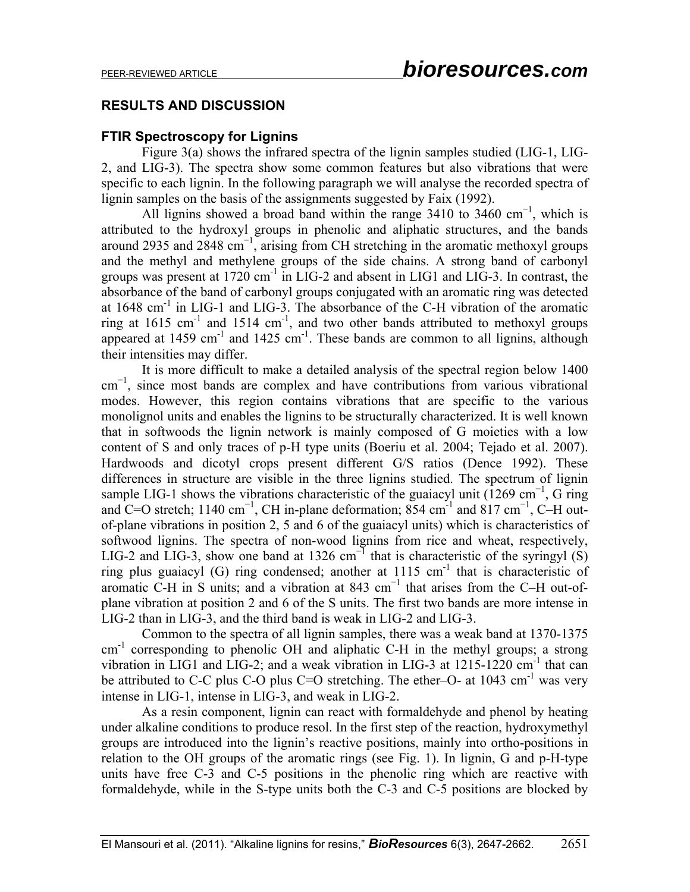# **RESULTS AND DISCUSSION**

#### **FTIR Spectroscopy for Lignins**

Figure 3(a) shows the infrared spectra of the lignin samples studied (LIG-1, LIG-2, and LIG-3). The spectra show some common features but also vibrations that were specific to each lignin. In the following paragraph we will analyse the recorded spectra of lignin samples on the basis of the assignments suggested by Faix (1992).

All lignins showed a broad band within the range  $3410$  to  $3460$  cm<sup>-1</sup>, which is attributed to the hydroxyl groups in phenolic and aliphatic structures, and the bands around 2935 and 2848 cm<sup>−</sup><sup>1</sup> , arising from CH stretching in the aromatic methoxyl groups and the methyl and methylene groups of the side chains. A strong band of carbonyl groups was present at  $1720 \text{ cm}^{-1}$  in LIG-2 and absent in LIG1 and LIG-3. In contrast, the absorbance of the band of carbonyl groups conjugated with an aromatic ring was detected at  $1648 \text{ cm}^{-1}$  in LIG-1 and LIG-3. The absorbance of the C-H vibration of the aromatic ring at 1615 cm<sup>-1</sup> and 1514 cm<sup>-1</sup>, and two other bands attributed to methoxyl groups appeared at  $1459 \text{ cm}^{-1}$  and  $1425 \text{ cm}^{-1}$ . These bands are common to all lignins, although their intensities may differ.

It is more difficult to make a detailed analysis of the spectral region below 1400 cm<sup>-1</sup>, since most bands are complex and have contributions from various vibrational modes. However, this region contains vibrations that are specific to the various monolignol units and enables the lignins to be structurally characterized. It is well known that in softwoods the lignin network is mainly composed of G moieties with a low content of S and only traces of p-H type units (Boeriu et al. 2004; Tejado et al. 2007). Hardwoods and dicotyl crops present different G/S ratios (Dence 1992). These differences in structure are visible in the three lignins studied. The spectrum of lignin sample LIG-1 shows the vibrations characteristic of the guaiacyl unit (1269 cm<sup>-1</sup>, G ring and C=O stretch; 1140 cm<sup>-1</sup>, CH in-plane deformation; 854 cm<sup>-1</sup> and 817 cm<sup>-1</sup>, C–H outof-plane vibrations in position 2, 5 and 6 of the guaiacyl units) which is characteristics of softwood lignins. The spectra of non-wood lignins from rice and wheat, respectively, LIG-2 and LIG-3, show one band at 1326 cm<sup>-1</sup> that is characteristic of the syringyl (S) ring plus guaiacyl  $(G)$  ring condensed; another at  $1115 \text{ cm}^{-1}$  that is characteristic of aromatic C-H in S units; and a vibration at 843 cm<sup>−</sup><sup>1</sup> that arises from the C–H out-ofplane vibration at position 2 and 6 of the S units. The first two bands are more intense in LIG-2 than in LIG-3, and the third band is weak in LIG-2 and LIG-3.

Common to the spectra of all lignin samples, there was a weak band at 1370-1375 cm<sup>-1</sup> corresponding to phenolic OH and aliphatic C-H in the methyl groups; a strong vibration in LIG1 and LIG-2; and a weak vibration in LIG-3 at 1215-1220 cm<sup>-1</sup> that can be attributed to C-C plus C-O plus C=O stretching. The ether–O- at 1043 cm<sup>-1</sup> was very intense in LIG-1, intense in LIG-3, and weak in LIG-2.

As a resin component, lignin can react with formaldehyde and phenol by heating under alkaline conditions to produce resol. In the first step of the reaction, hydroxymethyl groups are introduced into the lignin's reactive positions, mainly into ortho-positions in relation to the OH groups of the aromatic rings (see Fig. 1). In lignin, G and p-H-type units have free C-3 and C-5 positions in the phenolic ring which are reactive with formaldehyde, while in the S-type units both the C-3 and C-5 positions are blocked by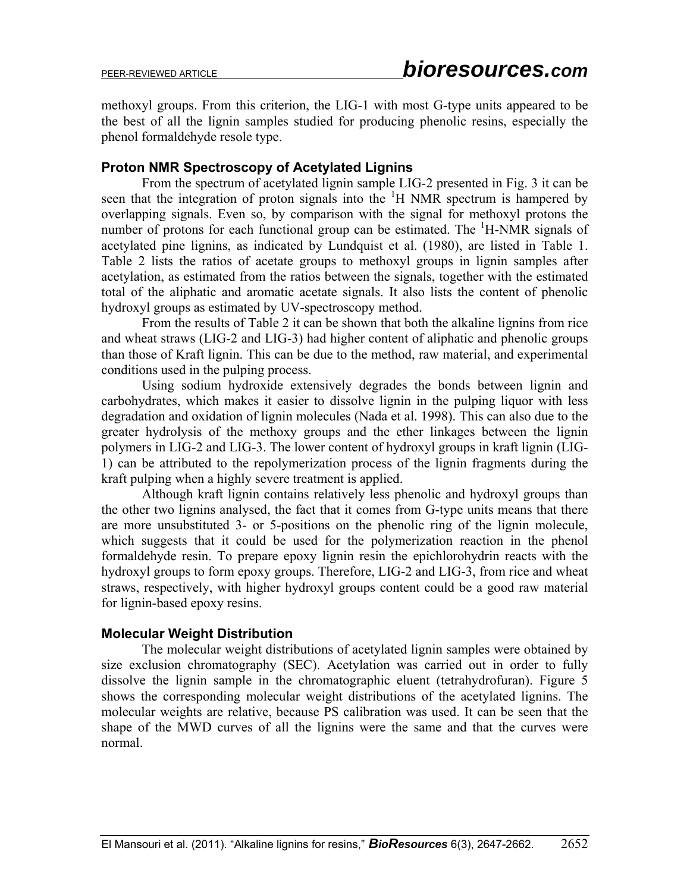methoxyl groups. From this criterion, the LIG-1 with most G-type units appeared to be the best of all the lignin samples studied for producing phenolic resins, especially the phenol formaldehyde resole type.

## **Proton NMR Spectroscopy of Acetylated Lignins**

From the spectrum of acetylated lignin sample LIG-2 presented in Fig. 3 it can be seen that the integration of proton signals into the  ${}^{1}H$  NMR spectrum is hampered by overlapping signals. Even so, by comparison with the signal for methoxyl protons the number of protons for each functional group can be estimated. The  ${}^{1}$ H-NMR signals of acetylated pine lignins, as indicated by Lundquist et al. (1980), are listed in Table 1. Table 2 lists the ratios of acetate groups to methoxyl groups in lignin samples after acetylation, as estimated from the ratios between the signals, together with the estimated total of the aliphatic and aromatic acetate signals. It also lists the content of phenolic hydroxyl groups as estimated by UV-spectroscopy method.

From the results of Table 2 it can be shown that both the alkaline lignins from rice and wheat straws (LIG-2 and LIG-3) had higher content of aliphatic and phenolic groups than those of Kraft lignin. This can be due to the method, raw material, and experimental conditions used in the pulping process.

Using sodium hydroxide extensively degrades the bonds between lignin and carbohydrates, which makes it easier to dissolve lignin in the pulping liquor with less degradation and oxidation of lignin molecules (Nada et al. 1998). This can also due to the greater hydrolysis of the methoxy groups and the ether linkages between the lignin polymers in LIG-2 and LIG-3. The lower content of hydroxyl groups in kraft lignin (LIG-1) can be attributed to the repolymerization process of the lignin fragments during the kraft pulping when a highly severe treatment is applied.

Although kraft lignin contains relatively less phenolic and hydroxyl groups than the other two lignins analysed, the fact that it comes from G-type units means that there are more unsubstituted 3- or 5-positions on the phenolic ring of the lignin molecule, which suggests that it could be used for the polymerization reaction in the phenol formaldehyde resin. To prepare epoxy lignin resin the epichlorohydrin reacts with the hydroxyl groups to form epoxy groups. Therefore, LIG-2 and LIG-3, from rice and wheat straws, respectively, with higher hydroxyl groups content could be a good raw material for lignin-based epoxy resins.

## **Molecular Weight Distribution**

The molecular weight distributions of acetylated lignin samples were obtained by size exclusion chromatography (SEC). Acetylation was carried out in order to fully dissolve the lignin sample in the chromatographic eluent (tetrahydrofuran). Figure 5 shows the corresponding molecular weight distributions of the acetylated lignins. The molecular weights are relative, because PS calibration was used. It can be seen that the shape of the MWD curves of all the lignins were the same and that the curves were normal.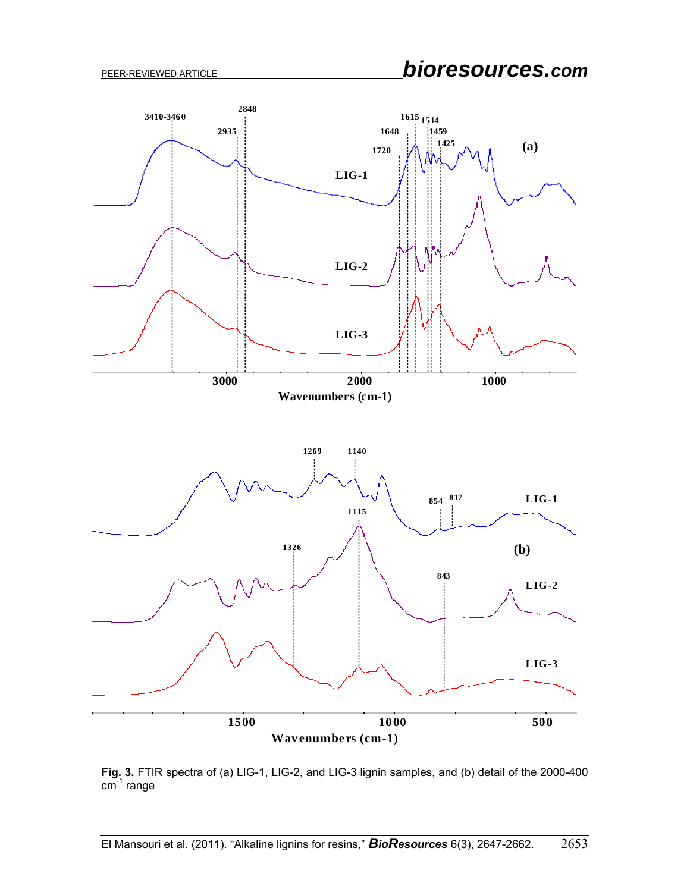

**Fig. 3.** FTIR spectra of (a) LIG-1, LIG-2, and LIG-3 lignin samples, and (b) detail of the 2000-400  $\mathsf{cm}^{-1}$  range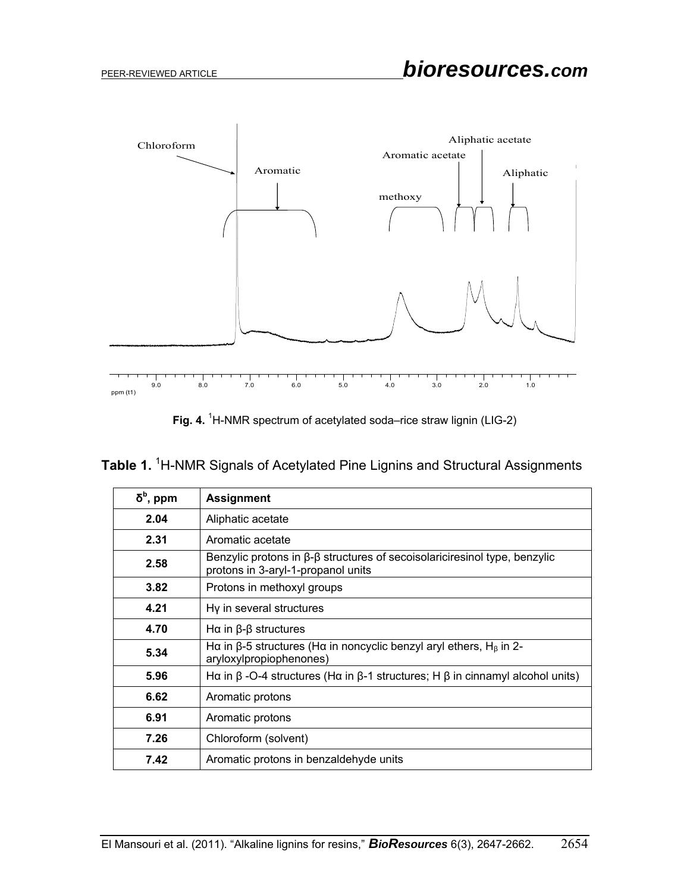

Fig. 4. <sup>1</sup>H-NMR spectrum of acetylated soda–rice straw lignin (LIG-2)

|  |  |  | Table 1. <sup>1</sup> H-NMR Signals of Acetylated Pine Lignins and Structural Assignments |
|--|--|--|-------------------------------------------------------------------------------------------|
|  |  |  |                                                                                           |

| $\delta^{\text{b}}$ , ppm | <b>Assignment</b>                                                                                                             |
|---------------------------|-------------------------------------------------------------------------------------------------------------------------------|
| 2.04                      | Aliphatic acetate                                                                                                             |
| 2.31                      | Aromatic acetate                                                                                                              |
| 2.58                      | Benzylic protons in $\beta$ - $\beta$ structures of secoisolariciresinol type, benzylic<br>protons in 3-aryl-1-propanol units |
| 3.82                      | Protons in methoxyl groups                                                                                                    |
| 4.21                      | Hy in several structures                                                                                                      |
| 4.70                      | Hα in $β$ - $β$ structures                                                                                                    |
| 5.34                      | Hα in β-5 structures (Hα in noncyclic benzyl aryl ethers, H <sub>β</sub> in 2-<br>aryloxylpropiophenones)                     |
| 5.96                      | Hα in β -O-4 structures (Hα in β-1 structures; H β in cinnamyl alcohol units)                                                 |
| 6.62                      | Aromatic protons                                                                                                              |
| 6.91                      | Aromatic protons                                                                                                              |
| 7.26                      | Chloroform (solvent)                                                                                                          |
| 7.42                      | Aromatic protons in benzaldehyde units                                                                                        |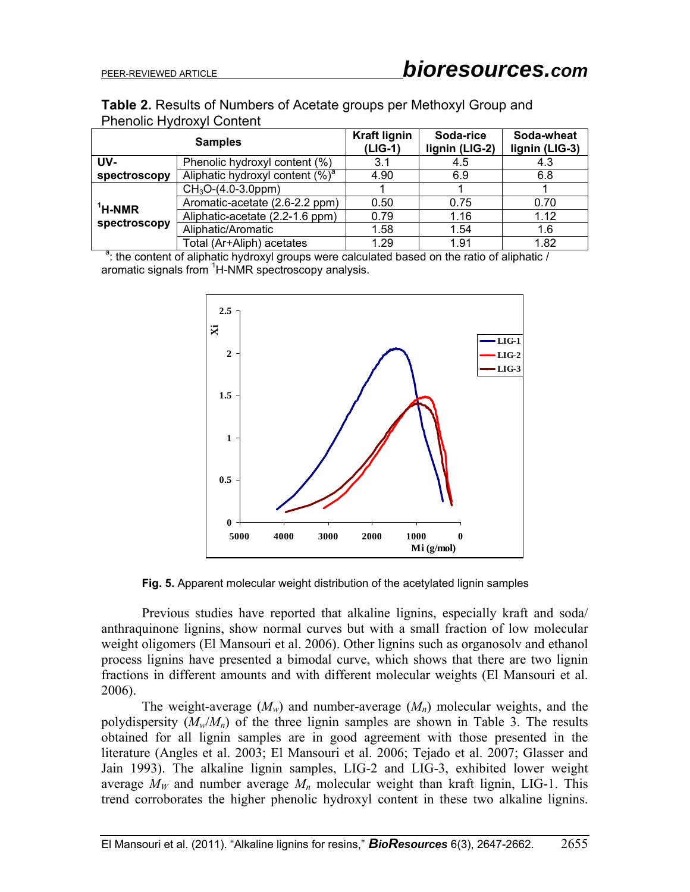|  | Table 2. Results of Numbers of Acetate groups per Methoxyl Group and |  |  |  |
|--|----------------------------------------------------------------------|--|--|--|
|  | <b>Phenolic Hydroxyl Content</b>                                     |  |  |  |

|              | <b>Samples</b>                      | <b>Kraft lignin</b><br>$(LIG-1)$ | Soda-rice<br>lignin (LIG-2) | Soda-wheat<br>lignin (LIG-3) |
|--------------|-------------------------------------|----------------------------------|-----------------------------|------------------------------|
| UV-          | Phenolic hydroxyl content (%)       | 3.1                              | 4.5                         | 4.3                          |
| spectroscopy | Aliphatic hydroxyl content $(\%)^a$ | 4.90                             | 6.9                         | 6.8                          |
|              | $CH3O-(4.0-3.0ppm)$                 |                                  |                             |                              |
| $1$ H-NMR    | Aromatic-acetate (2.6-2.2 ppm)      | 0.50                             | 0.75                        | 0.70                         |
|              | Aliphatic-acetate (2.2-1.6 ppm)     | 0.79                             | 1.16                        | 1.12                         |
| spectroscopy | Aliphatic/Aromatic                  | 1.58                             | 1.54                        | 1.6                          |
|              | Total (Ar+Aliph) acetates           | 1.29                             | 1.91                        | 1.82                         |

<sup>a</sup>: the content of aliphatic hydroxyl groups were calculated based on the ratio of aliphatic / aromatic signals from <sup>1</sup>H-NMR spectroscopy analysis.



**Fig. 5.** Apparent molecular weight distribution of the acetylated lignin samples

Previous studies have reported that alkaline lignins, especially kraft and soda/ anthraquinone lignins, show normal curves but with a small fraction of low molecular weight oligomers (El Mansouri et al. 2006). Other lignins such as organosolv and ethanol process lignins have presented a bimodal curve, which shows that there are two lignin fractions in different amounts and with different molecular weights (El Mansouri et al. 2006).

The weight-average  $(M_w)$  and number-average  $(M_n)$  molecular weights, and the polydispersity  $(M_w/M_n)$  of the three lignin samples are shown in Table 3. The results obtained for all lignin samples are in good agreement with those presented in the literature (Angles et al. 2003; El Mansouri et al. 2006; Tejado et al. 2007; Glasser and Jain 1993). The alkaline lignin samples, LIG-2 and LIG-3, exhibited lower weight average  $M_W$  and number average  $M_n$  molecular weight than kraft lignin, LIG-1. This trend corroborates the higher phenolic hydroxyl content in these two alkaline lignins.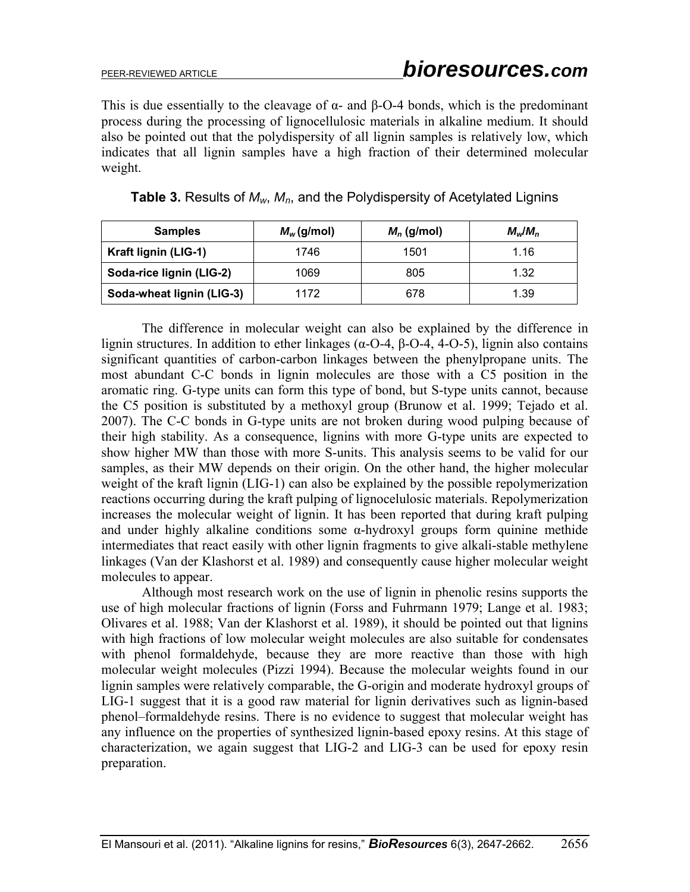This is due essentially to the cleavage of  $\alpha$ - and  $\beta$ -O-4 bonds, which is the predominant process during the processing of lignocellulosic materials in alkaline medium. It should also be pointed out that the polydispersity of all lignin samples is relatively low, which indicates that all lignin samples have a high fraction of their determined molecular weight.

| <b>Samples</b>            | $M_{w}$ (g/mol) | $M_n$ (g/mol) | $M_{\rm w}/M_{\rm n}$ |  |
|---------------------------|-----------------|---------------|-----------------------|--|
| Kraft lignin (LIG-1)      | 1746            | 1501          | 1.16                  |  |
| Soda-rice lignin (LIG-2)  | 1069            | 805           | 1.32                  |  |
| Soda-wheat lignin (LIG-3) | 1172            | 678           | 1.39                  |  |

| Table 3. Results of $M_w$ , $M_n$ , and the Polydispersity of Acetylated Lignins |  |  |  |
|----------------------------------------------------------------------------------|--|--|--|
|----------------------------------------------------------------------------------|--|--|--|

The difference in molecular weight can also be explained by the difference in lignin structures. In addition to ether linkages ( $\alpha$ -O-4, β-O-4, 4-O-5), lignin also contains significant quantities of carbon-carbon linkages between the phenylpropane units. The most abundant C-C bonds in lignin molecules are those with a C5 position in the aromatic ring. G-type units can form this type of bond, but S-type units cannot, because the C5 position is substituted by a methoxyl group (Brunow et al. 1999; Tejado et al. 2007). The C-C bonds in G-type units are not broken during wood pulping because of their high stability. As a consequence, lignins with more G-type units are expected to show higher MW than those with more S-units. This analysis seems to be valid for our samples, as their MW depends on their origin. On the other hand, the higher molecular weight of the kraft lignin (LIG-1) can also be explained by the possible repolymerization reactions occurring during the kraft pulping of lignocelulosic materials. Repolymerization increases the molecular weight of lignin. It has been reported that during kraft pulping and under highly alkaline conditions some  $\alpha$ -hydroxyl groups form quinine methide intermediates that react easily with other lignin fragments to give alkali-stable methylene linkages (Van der Klashorst et al. 1989) and consequently cause higher molecular weight molecules to appear.

Although most research work on the use of lignin in phenolic resins supports the use of high molecular fractions of lignin (Forss and Fuhrmann 1979; Lange et al. 1983; Olivares et al. 1988; Van der Klashorst et al. 1989), it should be pointed out that lignins with high fractions of low molecular weight molecules are also suitable for condensates with phenol formaldehyde, because they are more reactive than those with high molecular weight molecules (Pizzi 1994). Because the molecular weights found in our lignin samples were relatively comparable, the G-origin and moderate hydroxyl groups of LIG-1 suggest that it is a good raw material for lignin derivatives such as lignin-based phenol–formaldehyde resins. There is no evidence to suggest that molecular weight has any influence on the properties of synthesized lignin-based epoxy resins. At this stage of characterization, we again suggest that LIG-2 and LIG-3 can be used for epoxy resin preparation.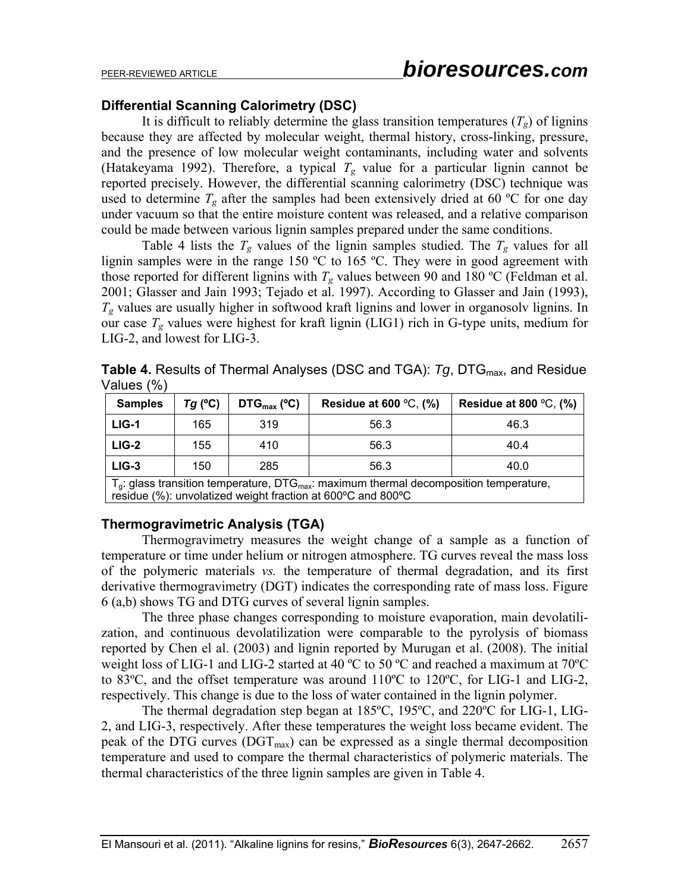### **Differential Scanning Calorimetry (DSC)**

It is difficult to reliably determine the glass transition temperatures  $(T_g)$  of lignins because they are affected by molecular weight, thermal history, cross-linking, pressure, and the presence of low molecular weight contaminants, including water and solvents (Hatakeyama 1992). Therefore, a typical  $T_g$  value for a particular lignin cannot be reported precisely. However, the differential scanning calorimetry (DSC) technique was used to determine  $T_g$  after the samples had been extensively dried at 60 °C for one day under vacuum so that the entire moisture content was released, and a relative comparison could be made between various lignin samples prepared under the same conditions.

Table 4 lists the  $T_g$  values of the lignin samples studied. The  $T_g$  values for all lignin samples were in the range 150 ºC to 165 ºC. They were in good agreement with those reported for different lignins with  $T_g$  values between 90 and 180 °C (Feldman et al. 2001; Glasser and Jain 1993; Tejado et al. 1997). According to Glasser and Jain (1993),  $T_g$  values are usually higher in softwood kraft lignins and lower in organosolv lignins. In our case  $T_g$  values were highest for kraft lignin (LIG1) rich in G-type units, medium for LIG-2, and lowest for LIG-3.

**Table 4.** Results of Thermal Analyses (DSC and TGA): *Tg*, DTG<sub>max</sub>, and Residue Values (%)

| <b>Samples</b>                              | $Tq$ (°C) | $DTG_{\text{max}}$ (°C) | Residue at 600 $\degree$ C, (%)           | Residue at 800 $\degree$ C, (%) |  |
|---------------------------------------------|-----------|-------------------------|-------------------------------------------|---------------------------------|--|
| $LIG-1$                                     | 165       | 319                     | 56.3                                      | 46.3                            |  |
| $LIG-2$                                     | 155       | 410                     | 56.3                                      | 40.4                            |  |
| $LIG-3$                                     | 150       | 285                     | 56.3                                      | 40.0                            |  |
| $T \cdot$ alaee traneition temperature. DTC |           |                         | mayimum thermal decomposition temperature |                                 |  |

 $T_g$ . glass transition temperature, DTG<sub>max</sub>: maximum thermal decomposition residue (%): unvolatized weight fraction at 600ºC and 800ºC

## **Thermogravimetric Analysis (TGA)**

Thermogravimetry measures the weight change of a sample as a function of temperature or time under helium or nitrogen atmosphere. TG curves reveal the mass loss of the polymeric materials *vs.* the temperature of thermal degradation, and its first derivative thermogravimetry (DGT) indicates the corresponding rate of mass loss. Figure 6 (a,b) shows TG and DTG curves of several lignin samples.

The three phase changes corresponding to moisture evaporation, main devolatilization, and continuous devolatilization were comparable to the pyrolysis of biomass reported by Chen el al. (2003) and lignin reported by Murugan et al. (2008). The initial weight loss of LIG-1 and LIG-2 started at 40 °C to 50 °C and reached a maximum at 70°C to 83ºC, and the offset temperature was around 110ºC to 120ºC, for LIG-1 and LIG-2, respectively. This change is due to the loss of water contained in the lignin polymer.

The thermal degradation step began at 185ºC, 195ºC, and 220ºC for LIG-1, LIG-2, and LIG-3, respectively. After these temperatures the weight loss became evident. The peak of the DTG curves ( $\text{DGT}_{\text{max}}$ ) can be expressed as a single thermal decomposition temperature and used to compare the thermal characteristics of polymeric materials. The thermal characteristics of the three lignin samples are given in Table 4.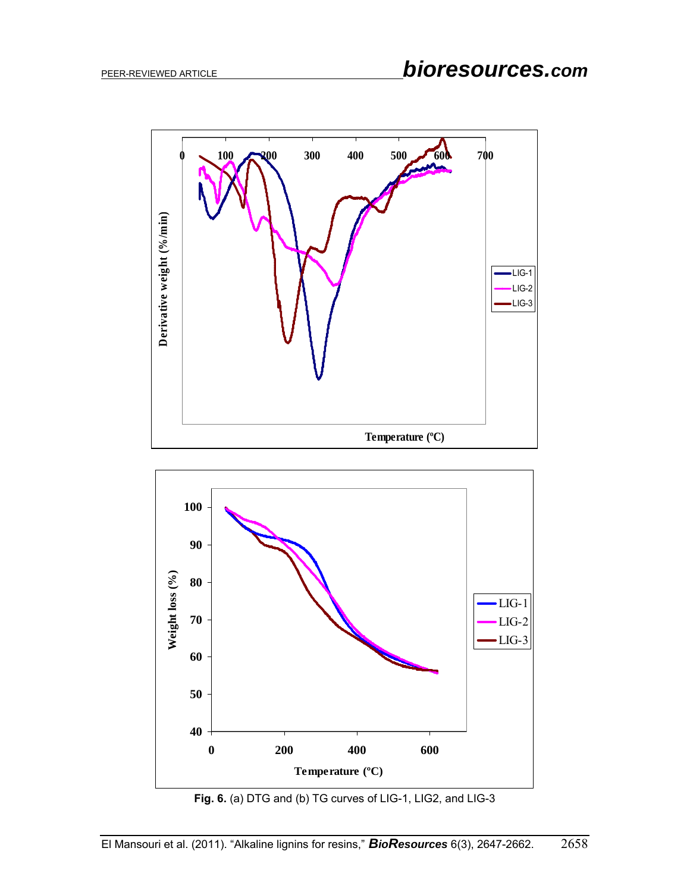



**Fig. 6.** (a) DTG and (b) TG curves of LIG-1, LIG2, and LIG-3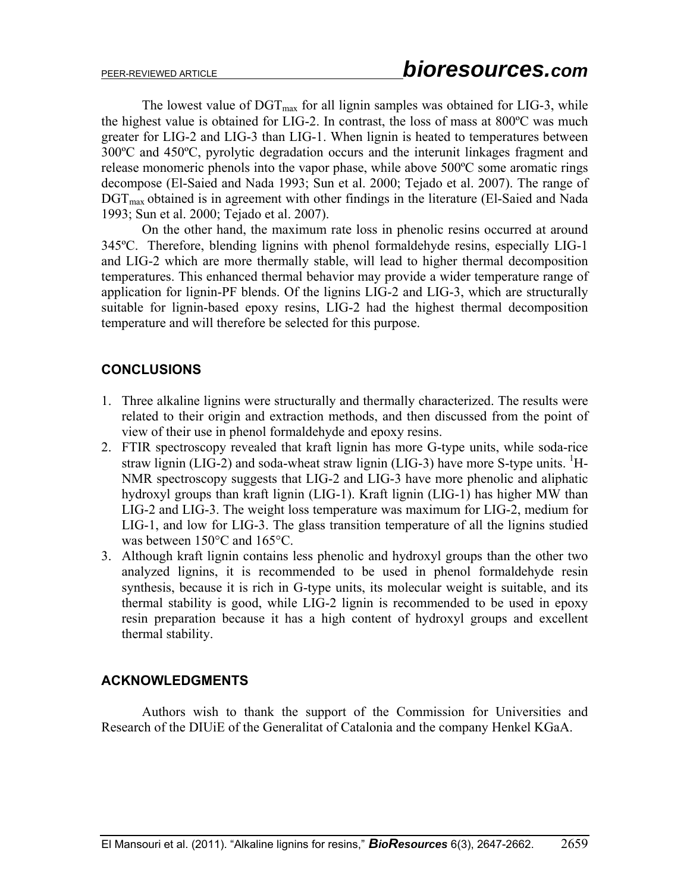The lowest value of  $\mathrm{DGT}_{\mathrm{max}}$  for all lignin samples was obtained for LIG-3, while the highest value is obtained for LIG-2. In contrast, the loss of mass at 800ºC was much greater for LIG-2 and LIG-3 than LIG-1. When lignin is heated to temperatures between 300ºC and 450ºC, pyrolytic degradation occurs and the interunit linkages fragment and release monomeric phenols into the vapor phase, while above 500ºC some aromatic rings decompose (El-Saied and Nada 1993; Sun et al. 2000; Tejado et al. 2007). The range of  $\text{DGT}_{\text{max}}$  obtained is in agreement with other findings in the literature (El-Saied and Nada 1993; Sun et al. 2000; Tejado et al. 2007).

On the other hand, the maximum rate loss in phenolic resins occurred at around 345ºC. Therefore, blending lignins with phenol formaldehyde resins, especially LIG-1 and LIG-2 which are more thermally stable, will lead to higher thermal decomposition temperatures. This enhanced thermal behavior may provide a wider temperature range of application for lignin-PF blends. Of the lignins LIG-2 and LIG-3, which are structurally suitable for lignin-based epoxy resins, LIG-2 had the highest thermal decomposition temperature and will therefore be selected for this purpose.

# **CONCLUSIONS**

- 1. Three alkaline lignins were structurally and thermally characterized. The results were related to their origin and extraction methods, and then discussed from the point of view of their use in phenol formaldehyde and epoxy resins.
- 2. FTIR spectroscopy revealed that kraft lignin has more G-type units, while soda-rice straw lignin (LIG-2) and soda-wheat straw lignin (LIG-3) have more S-type units. <sup>1</sup>H-NMR spectroscopy suggests that LIG-2 and LIG-3 have more phenolic and aliphatic hydroxyl groups than kraft lignin (LIG-1). Kraft lignin (LIG-1) has higher MW than LIG-2 and LIG-3. The weight loss temperature was maximum for LIG-2, medium for LIG-1, and low for LIG-3. The glass transition temperature of all the lignins studied was between 150°C and 165°C.
- 3. Although kraft lignin contains less phenolic and hydroxyl groups than the other two analyzed lignins, it is recommended to be used in phenol formaldehyde resin synthesis, because it is rich in G-type units, its molecular weight is suitable, and its thermal stability is good, while LIG-2 lignin is recommended to be used in epoxy resin preparation because it has a high content of hydroxyl groups and excellent thermal stability.

## **ACKNOWLEDGMENTS**

Authors wish to thank the support of the Commission for Universities and Research of the DIUiE of the Generalitat of Catalonia and the company Henkel KGaA.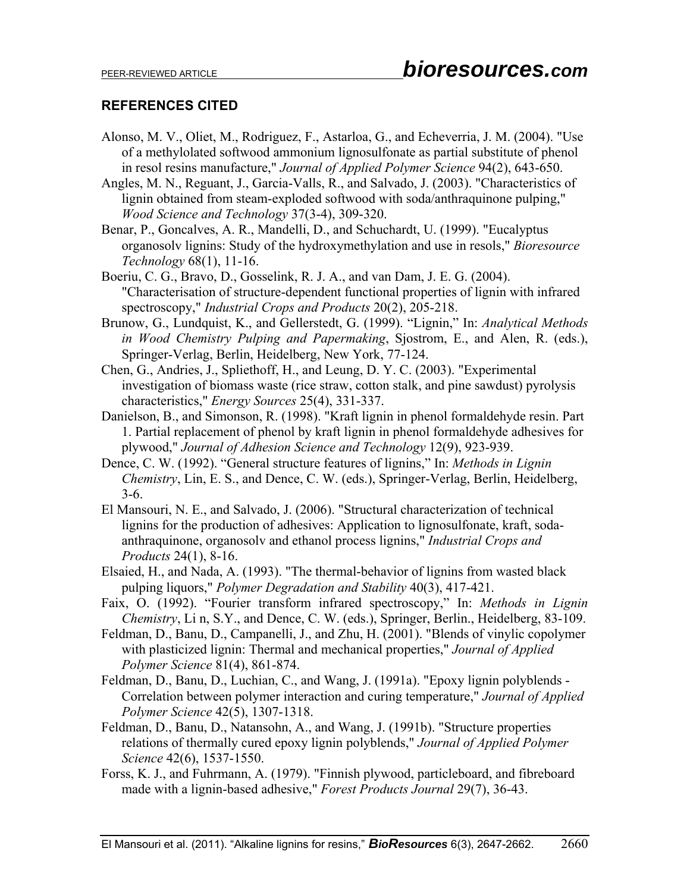# **REFERENCES CITED**

- Alonso, M. V., Oliet, M., Rodriguez, F., Astarloa, G., and Echeverria, J. M. (2004). "Use of a methylolated softwood ammonium lignosulfonate as partial substitute of phenol in resol resins manufacture," *Journal of Applied Polymer Science* 94(2), 643-650.
- Angles, M. N., Reguant, J., Garcia-Valls, R., and Salvado, J. (2003). "Characteristics of lignin obtained from steam-exploded softwood with soda/anthraquinone pulping," *Wood Science and Technology* 37(3-4), 309-320.
- Benar, P., Goncalves, A. R., Mandelli, D., and Schuchardt, U. (1999). "Eucalyptus organosolv lignins: Study of the hydroxymethylation and use in resols," *Bioresource Technology* 68(1), 11-16.
- Boeriu, C. G., Bravo, D., Gosselink, R. J. A., and van Dam, J. E. G. (2004). "Characterisation of structure-dependent functional properties of lignin with infrared spectroscopy," *Industrial Crops and Products* 20(2), 205-218.
- Brunow, G., Lundquist, K., and Gellerstedt, G. (1999). "Lignin," In: *Analytical Methods in Wood Chemistry Pulping and Papermaking*, Sjostrom, E., and Alen, R. (eds.), Springer-Verlag, Berlin, Heidelberg, New York, 77-124.
- Chen, G., Andries, J., Spliethoff, H., and Leung, D. Y. C. (2003). "Experimental investigation of biomass waste (rice straw, cotton stalk, and pine sawdust) pyrolysis characteristics," *Energy Sources* 25(4), 331-337.
- Danielson, B., and Simonson, R. (1998). "Kraft lignin in phenol formaldehyde resin. Part 1. Partial replacement of phenol by kraft lignin in phenol formaldehyde adhesives for plywood," *Journal of Adhesion Science and Technology* 12(9), 923-939.
- Dence, C. W. (1992). "General structure features of lignins," In: *Methods in Lignin Chemistry*, Lin, E. S., and Dence, C. W. (eds.), Springer-Verlag, Berlin, Heidelberg, 3-6.
- El Mansouri, N. E., and Salvado, J. (2006). "Structural characterization of technical lignins for the production of adhesives: Application to lignosulfonate, kraft, sodaanthraquinone, organosolv and ethanol process lignins," *Industrial Crops and Products* 24(1), 8-16.
- Elsaied, H., and Nada, A. (1993). "The thermal-behavior of lignins from wasted black pulping liquors," *Polymer Degradation and Stability* 40(3), 417-421.
- Faix, O. (1992). "Fourier transform infrared spectroscopy," In: *Methods in Lignin Chemistry*, Li n, S.Y., and Dence, C. W. (eds.), Springer, Berlin., Heidelberg, 83-109.
- Feldman, D., Banu, D., Campanelli, J., and Zhu, H. (2001). "Blends of vinylic copolymer with plasticized lignin: Thermal and mechanical properties," *Journal of Applied Polymer Science* 81(4), 861-874.
- Feldman, D., Banu, D., Luchian, C., and Wang, J. (1991a). "Epoxy lignin polyblends Correlation between polymer interaction and curing temperature," *Journal of Applied Polymer Science* 42(5), 1307-1318.
- Feldman, D., Banu, D., Natansohn, A., and Wang, J. (1991b). "Structure properties relations of thermally cured epoxy lignin polyblends," *Journal of Applied Polymer Science* 42(6), 1537-1550.
- Forss, K. J., and Fuhrmann, A. (1979). "Finnish plywood, particleboard, and fibreboard made with a lignin-based adhesive," *Forest Products Journal* 29(7), 36-43.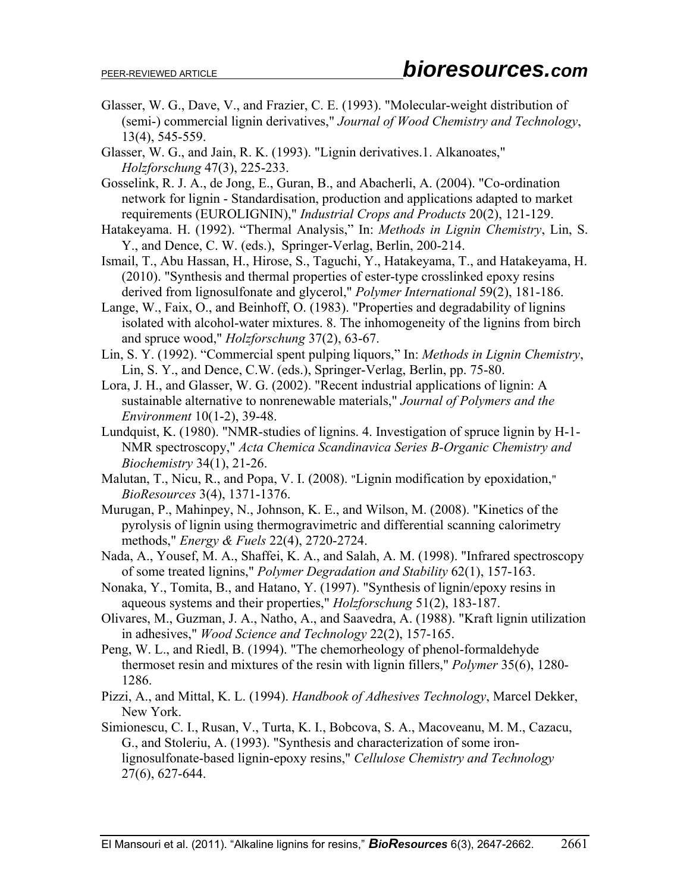- Glasser, W. G., Dave, V., and Frazier, C. E. (1993). "Molecular-weight distribution of (semi-) commercial lignin derivatives," *Journal of Wood Chemistry and Technology*, 13(4), 545-559.
- Glasser, W. G., and Jain, R. K. (1993). "Lignin derivatives.1. Alkanoates," *Holzforschung* 47(3), 225-233.
- Gosselink, R. J. A., de Jong, E., Guran, B., and Abacherli, A. (2004). "Co-ordination network for lignin - Standardisation, production and applications adapted to market requirements (EUROLIGNIN)," *Industrial Crops and Products* 20(2), 121-129.
- Hatakeyama. H. (1992). "Thermal Analysis," In: *Methods in Lignin Chemistry*, Lin, S. Y., and Dence, C. W. (eds.), Springer-Verlag, Berlin, 200-214.
- Ismail, T., Abu Hassan, H., Hirose, S., Taguchi, Y., Hatakeyama, T., and Hatakeyama, H. (2010). "Synthesis and thermal properties of ester-type crosslinked epoxy resins derived from lignosulfonate and glycerol," *Polymer International* 59(2), 181-186.
- Lange, W., Faix, O., and Beinhoff, O. (1983). "Properties and degradability of lignins isolated with alcohol-water mixtures. 8. The inhomogeneity of the lignins from birch and spruce wood," *Holzforschung* 37(2), 63-67.
- Lin, S. Y. (1992). "Commercial spent pulping liquors," In: *Methods in Lignin Chemistry*, Lin, S. Y., and Dence, C.W. (eds.), Springer-Verlag, Berlin, pp. 75-80.
- Lora, J. H., and Glasser, W. G. (2002). "Recent industrial applications of lignin: A sustainable alternative to nonrenewable materials," *Journal of Polymers and the Environment* 10(1-2), 39-48.
- Lundquist, K. (1980). "NMR-studies of lignins. 4. Investigation of spruce lignin by H-1- NMR spectroscopy," *Acta Chemica Scandinavica Series B-Organic Chemistry and Biochemistry* 34(1), 21-26.
- Malutan, T., Nicu, R., and Popa, V. I. (2008). "Lignin modification by epoxidation," *BioResources* 3(4), 1371-1376.
- Murugan, P., Mahinpey, N., Johnson, K. E., and Wilson, M. (2008). "Kinetics of the pyrolysis of lignin using thermogravimetric and differential scanning calorimetry methods," *Energy & Fuels* 22(4), 2720-2724.
- Nada, A., Yousef, M. A., Shaffei, K. A., and Salah, A. M. (1998). "Infrared spectroscopy of some treated lignins," *Polymer Degradation and Stability* 62(1), 157-163.
- Nonaka, Y., Tomita, B., and Hatano, Y. (1997). "Synthesis of lignin/epoxy resins in aqueous systems and their properties," *Holzforschung* 51(2), 183-187.
- Olivares, M., Guzman, J. A., Natho, A., and Saavedra, A. (1988). "Kraft lignin utilization in adhesives," *Wood Science and Technology* 22(2), 157-165.
- Peng, W. L., and Riedl, B. (1994). "The chemorheology of phenol-formaldehyde thermoset resin and mixtures of the resin with lignin fillers," *Polymer* 35(6), 1280- 1286.
- Pizzi, A., and Mittal, K. L. (1994). *Handbook of Adhesives Technology*, Marcel Dekker, New York.
- Simionescu, C. I., Rusan, V., Turta, K. I., Bobcova, S. A., Macoveanu, M. M., Cazacu, G., and Stoleriu, A. (1993). "Synthesis and characterization of some ironlignosulfonate-based lignin-epoxy resins," *Cellulose Chemistry and Technology* 27(6), 627-644.